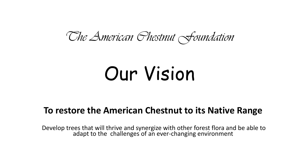#### *The American Chestnut Foundation*

# Our Vision

#### **To restore the American Chestnut to its Native Range**

Develop trees that will thrive and synergize with other forest flora and be able to adapt to the challenges of an ever-changing environment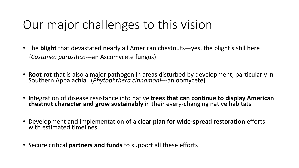## Our major challenges to this vision

- The **blight** that devastated nearly all American chestnuts—yes, the blight's still here! (*Castanea parasitica-*--an Ascomycete fungus)
- **Root rot** that is also a major pathogen in areas disturbed by development, particularly in Southern Appalachia. (*Phytophthera cinnamoni-*--an oomycete)
- Integration of disease resistance into native **trees that can continue to display American chestnut character and grow sustainably** in their every-changing native habitats
- Development and implementation of a **clear plan for wide-spread restoration** efforts-- with estimated timelines
- Secure critical **partners and funds** to support all these efforts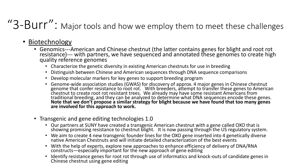### "3-Burr": Major tools and how we employ them to meet these challenges

- Biotechnology
	- Genomics---American and Chinese chestnut (the latter contains genes for blight and root rot resistance)--- with partners, we have sequenced and annotated these genomes to create high quality reference genomes
		- Characterize the genetic diversity in existing American chestnuts for use in breeding
		- Distinguish between Chinese and American sequences through DNA sequence comparisons
		- Develop molecular markers for key genes to support breeding program
		- Genome-wide association studies (GWAS) for discovery of approx. 4 major genes in Chinese chestnut genome that confer resistance to root rot. With breeders, attempt to transfer these genes to American chestnut to create root rot resistant trees. We already may have some resistant Americans from traditional breeding, and they can be analyzed to determine what DNA sequences encode these genes. **Note that we don't propose a similar strategy for blight because we have found that too many genes are involved for this approach to work.**
	- Transgenic and gene editing technologies 1.0
		- Our partners at SUNY have created a transgenic American chestnut with a gene called OXO that is showing promising resistance to chestnut blight. It is now passing through the US regulatory system.
		- We aim to create 4 new transgenic founder lines for the OXO gene inserted into 4 genetically diverse native American Chestnuts and will initiate detailed characterization of the best events
		- With the help of experts, explore new approaches to enhance efficiency of delivery of DNA/RNA constructs—especially important for the new approach of gene editing
		- Identify resistance genes for root rot through use of informatics and knock-outs of candidate genes in Chinese chestnut using gene editing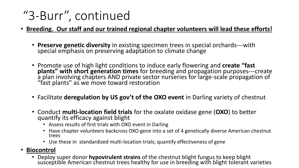### "3-Burr", continued

- **Breeding. Our staff and our trained regional chapter volunteers will lead these efforts!**
	- **Preserve genetic diversity** in existing specimen trees in special orchards---with special emphasis on preserving adaptation to climate change
	- Promote use of high light conditions to induce early flowering and **create "fast plants" with short generation times** for breeding and propagation purposes---create a plan involving chapters AND private sector nurseries for large-scale propagation of "fast plants" as we move toward restoration
	- Facilitate **deregulation by US gov't of the OXO event** in Darling variety of chestnut
	- Conduct **multi-location field trials** for the oxalate oxidase gene (**OXO**) to better quantify its efficacy against blight
		- Assess results of first trials with OXO event in Darling
		- Have chapter volunteers backcross OXO gene into a set of 4 genetically diverse American chestnut trees
		- Use these in standardized multi-location trials; quantify effectiveness of gene

#### • **Biocontrol**

• Deploy super donor **hypovirulent strains** of the chestnut blight fungus to keep blight susceptible American chestnut trees healthy for use in breeding with blight tolerant varieties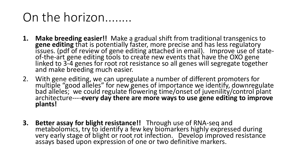#### On the horizon........

- **1. Make breeding easier!!** Make a gradual shift from traditional transgenics to **gene editing** that is potentially faster, more precise and has less regulatory issues. (pdf of review of gene editing attached in email). Improve use of stateof-the-art gene editing tools to create new events that have the OXO gene linked to 3-4 genes for root rot resistance so all genes will segregate together and make breeding much easier.
- 2. With gene editing, we can upregulate a number of different promoters for multiple "good alleles" for new genes of importance we identify, downregulate bad alleles; we could regulate flowering time/onset of juvenility/control plant architecture----**every day there are more ways to use gene editing to improve plants!**
- **3. Better assay for blight resistance!!** Through use of RNA-seq and metabolomics, try to identify a few key biomarkers highly expressed during very early stage of blight or root rot infection. Develop improved resistance assays based upon expression of one or two definitive markers.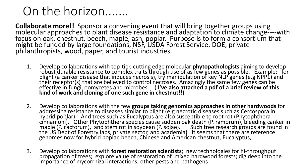#### On the horizon.......

**Collaborate more!!** Sponsor a convening event that will bring together groups using molecular approaches to plant disease resistance and adaptation to climate change----with focus on oak, chestnut, beech, maple, ash, poplar. Purpose is to form a consortium that might be funded by large foundations, NSF, USDA Forest Service, DOE, private philanthropists, wood, paper, and tourist industries.

- 1. Develop collaborations with top-tier, cutting edge molecular **phytopathologists** aiming to develop robust durable resistance to complex traits through use of as few genes as possible. Example: for blight (a canker disease that induces necrosis), try manipulation of key NLP genes (e.g NPP1) and their receptor(s) that are believed to control necroses. Amazingly the same few genes can be effective in fungi, oomycetes and microbes. ( **I've also attached a pdf of a brief review of this kind of work and cloning of one such gene in chestnut!!)**
- 2. Develop collaborations with the few **groups taking genomics approaches in other hardwoods** for addressing resistance to diseases similar to blight (e.g necrotic diseases such as Cercospora in hybrid poplar). And trees such as Eucalyptus are also susceptible to root rot (Phytophthera cinnamoni). Other Phytophthera species cause sudden oak death (P. ramorum), bleeding canker in maple (P. cactorum), and stem rot in soybean (P. sojae). Such tree research groups are found in the US Dept of Forestry labs, private sector, and academia). It seems that there are reference genomes now for hybrid poplar, beech, Chinese and American chestnut, Eucalyptus,
- 3. Develop collaborations with **forest restoration scientists**; new technologies for hi-throughput propagation of trees; explore value of restoration of mixed hardwood forests; dig deep into the importance of mycorrhizal interactions; other pests and pathogens